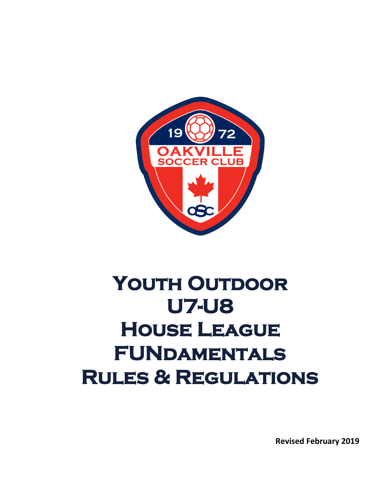

# YOUTH OUTDOOR **U7-U8 House League FUNdamentals Rules & Regulations**

**Revised February 2019**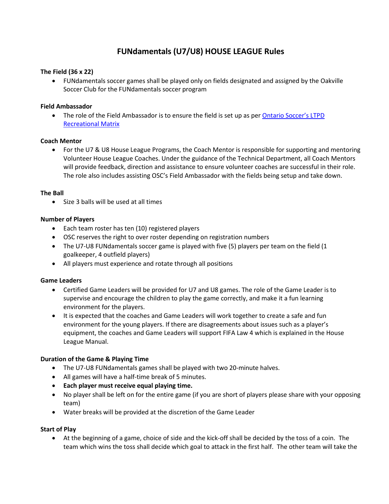# **FUNdamentals (U7/U8) HOUSE LEAGUE Rules**

#### **The Field (36 x 22)**

• FUNdamentals soccer games shall be played only on fields designated and assigned by the Oakville Soccer Club for the FUNdamentals soccer program

#### **Field Ambassador**

• The role of the Field Ambassador is to ensure the field is set up as per Ontario Soccer's LTPD [Recreational Matrix](https://cdn4.sportngin.com/attachments/document/0112/8095/Recreational_MATRIX_Outdoor_Feb232018.pdf)

#### **Coach Mentor**

• For the U7 & U8 House League Programs, the Coach Mentor is responsible for supporting and mentoring Volunteer House League Coaches. Under the guidance of the Technical Department, all Coach Mentors will provide feedback, direction and assistance to ensure volunteer coaches are successful in their role. The role also includes assisting OSC's Field Ambassador with the fields being setup and take down.

#### **The Ball**

• Size 3 balls will be used at all times

#### **Number of Players**

- Each team roster has ten (10) registered players
- OSC reserves the right to over roster depending on registration numbers
- The U7-U8 FUNdamentals soccer game is played with five (5) players per team on the field (1 goalkeeper, 4 outfield players)
- All players must experience and rotate through all positions

#### **Game Leaders**

- Certified Game Leaders will be provided for U7 and U8 games. The role of the Game Leader is to supervise and encourage the children to play the game correctly, and make it a fun learning environment for the players.
- It is expected that the coaches and Game Leaders will work together to create a safe and fun environment for the young players. If there are disagreements about issues such as a player's equipment, the coaches and Game Leaders will support FIFA Law 4 which is explained in the House League Manual.

#### **Duration of the Game & Playing Time**

- The U7-U8 FUNdamentals games shall be played with two 20-minute halves.
- All games will have a half-time break of 5 minutes.
- **Each player must receive equal playing time.**
- No player shall be left on for the entire game (if you are short of players please share with your opposing team)
- Water breaks will be provided at the discretion of the Game Leader

#### **Start of Play**

• At the beginning of a game, choice of side and the kick-off shall be decided by the toss of a coin. The team which wins the toss shall decide which goal to attack in the first half. The other team will take the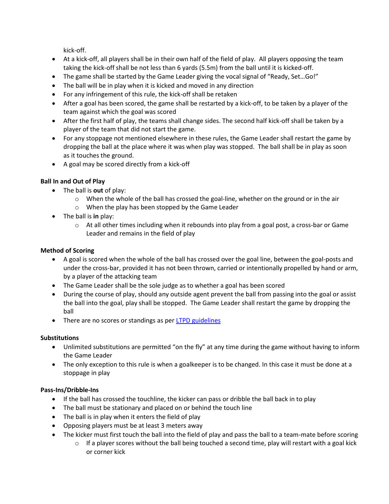kick-off.

- At a kick-off, all players shall be in their own half of the field of play. All players opposing the team taking the kick-off shall be not less than 6 yards (5.5m) from the ball until it is kicked-off.
- The game shall be started by the Game Leader giving the vocal signal of "Ready, Set...Go!"
- The ball will be in play when it is kicked and moved in any direction
- For any infringement of this rule, the kick-off shall be retaken
- After a goal has been scored, the game shall be restarted by a kick-off, to be taken by a player of the team against which the goal was scored
- After the first half of play, the teams shall change sides. The second half kick-off shall be taken by a player of the team that did not start the game.
- For any stoppage not mentioned elsewhere in these rules, the Game Leader shall restart the game by dropping the ball at the place where it was when play was stopped. The ball shall be in play as soon as it touches the ground.
- A goal may be scored directly from a kick-off

# **Ball In and Out of Play**

- The ball is **out** of play:
	- o When the whole of the ball has crossed the goal-line, whether on the ground or in the air
	- o When the play has been stopped by the Game Leader
- The ball is **in** play:
	- $\circ$  At all other times including when it rebounds into play from a goal post, a cross-bar or Game Leader and remains in the field of play

# **Method of Scoring**

- A goal is scored when the whole of the ball has crossed over the goal line, between the goal-posts and under the cross-bar, provided it has not been thrown, carried or intentionally propelled by hand or arm, by a player of the attacking team
- The Game Leader shall be the sole judge as to whether a goal has been scored
- During the course of play, should any outside agent prevent the ball from passing into the goal or assist the ball into the goal, play shall be stopped. The Game Leader shall restart the game by dropping the ball
- There are no scores or standings as per **LTPD** guidelines

#### **Substitutions**

- Unlimited substitutions are permitted "on the fly" at any time during the game without having to inform the Game Leader
- The only exception to this rule is when a goalkeeper is to be changed. In this case it must be done at a stoppage in play

# **Pass-Ins/Dribble-Ins**

- If the ball has crossed the touchline, the kicker can pass or dribble the ball back in to play
- The ball must be stationary and placed on or behind the touch line
- The ball is in play when it enters the field of play
- Opposing players must be at least 3 meters away
- The kicker must first touch the ball into the field of play and pass the ball to a team-mate before scoring
	- $\circ$  If a player scores without the ball being touched a second time, play will restart with a goal kick or corner kick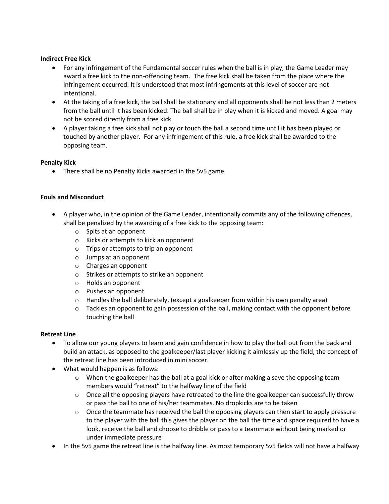#### **Indirect Free Kick**

- For any infringement of the Fundamental soccer rules when the ball is in play, the Game Leader may award a free kick to the non-offending team. The free kick shall be taken from the place where the infringement occurred. It is understood that most infringements at this level of soccer are not intentional.
- At the taking of a free kick, the ball shall be stationary and all opponents shall be not less than 2 meters from the ball until it has been kicked. The ball shall be in play when it is kicked and moved. A goal may not be scored directly from a free kick.
- A player taking a free kick shall not play or touch the ball a second time until it has been played or touched by another player. For any infringement of this rule, a free kick shall be awarded to the opposing team.

#### **Penalty Kick**

• There shall be no Penalty Kicks awarded in the 5v5 game

#### **Fouls and Misconduct**

- A player who, in the opinion of the Game Leader, intentionally commits any of the following offences, shall be penalized by the awarding of a free kick to the opposing team:
	- o Spits at an opponent
	- o Kicks or attempts to kick an opponent
	- o Trips or attempts to trip an opponent
	- o Jumps at an opponent
	- o Charges an opponent
	- o Strikes or attempts to strike an opponent
	- o Holds an opponent
	- o Pushes an opponent
	- $\circ$  Handles the ball deliberately, (except a goalkeeper from within his own penalty area)
	- $\circ$  Tackles an opponent to gain possession of the ball, making contact with the opponent before touching the ball

#### **Retreat Line**

- To allow our young players to learn and gain confidence in how to play the ball out from the back and build an attack, as opposed to the goalkeeper/last player kicking it aimlessly up the field, the concept of the retreat line has been introduced in mini soccer.
- What would happen is as follows:
	- $\circ$  When the goalkeeper has the ball at a goal kick or after making a save the opposing team members would "retreat" to the halfway line of the field
	- o Once all the opposing players have retreated to the line the goalkeeper can successfully throw or pass the ball to one of his/her teammates. No dropkicks are to be taken
	- $\circ$  Once the teammate has received the ball the opposing players can then start to apply pressure to the player with the ball this gives the player on the ball the time and space required to have a look, receive the ball and choose to dribble or pass to a teammate without being marked or under immediate pressure
- In the 5v5 game the retreat line is the halfway line. As most temporary 5v5 fields will not have a halfway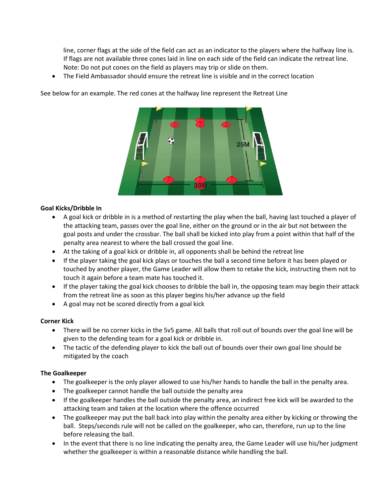line, corner flags at the side of the field can act as an indicator to the players where the halfway line is. If flags are not available three cones laid in line on each side of the field can indicate the retreat line. Note: Do not put cones on the field as players may trip or slide on them.

• The Field Ambassador should ensure the retreat line is visible and in the correct location

See below for an example. The red cones at the halfway line represent the Retreat Line



#### **Goal Kicks/Dribble In**

- A goal kick or dribble in is a method of restarting the play when the ball, having last touched a player of the attacking team, passes over the goal line, either on the ground or in the air but not between the goal posts and under the crossbar. The ball shall be kicked into play from a point within that half of the penalty area nearest to where the ball crossed the goal line.
- At the taking of a goal kick or dribble in, all opponents shall be behind the retreat line
- If the player taking the goal kick plays or touches the ball a second time before it has been played or touched by another player, the Game Leader will allow them to retake the kick, instructing them not to touch it again before a team mate has touched it.
- If the player taking the goal kick chooses to dribble the ball in, the opposing team may begin their attack from the retreat line as soon as this player begins his/her advance up the field
- A goal may not be scored directly from a goal kick

#### **Corner Kick**

- There will be no corner kicks in the 5v5 game. All balls that roll out of bounds over the goal line will be given to the defending team for a goal kick or dribble in.
- The tactic of the defending player to kick the ball out of bounds over their own goal line should be mitigated by the coach

#### **The Goalkeeper**

- The goalkeeper is the only player allowed to use his/her hands to handle the ball in the penalty area.
- The goalkeeper cannot handle the ball outside the penalty area
- If the goalkeeper handles the ball outside the penalty area, an indirect free kick will be awarded to the attacking team and taken at the location where the offence occurred
- The goalkeeper may put the ball back into play within the penalty area either by kicking or throwing the ball. Steps/seconds rule will not be called on the goalkeeper, who can, therefore, run up to the line before releasing the ball.
- In the event that there is no line indicating the penalty area, the Game Leader will use his/her judgment whether the goalkeeper is within a reasonable distance while handling the ball.